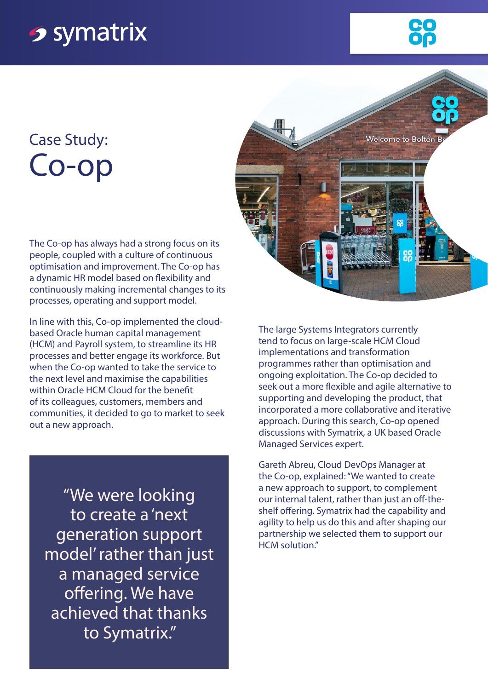## **<sub>2</sub>** symatrix

## Case Study: Co-op

The Co-op has always had a strong focus on its people, coupled with a culture of continuous optimisation and improvement. The Co-op has a dynamic HR model based on flexibility and continuously making incremental changes to its processes, operating and support model.

In line with this, Co-op implemented the cloudbased Oracle human capital management (HCM) and Payroll system, to streamline its HR processes and better engage its workforce. But when the Co-op wanted to take the service to the next level and maximise the capabilities within Oracle HCM Cloud for the benefit of its colleagues, customers, members and communities, it decided to go to market to seek out a new approach.

"We were looking to create a 'next generation support model' rather than just a managed service offering. We have achieved that thanks to Symatrix."



The large Systems Integrators currently tend to focus on large-scale HCM Cloud implementations and transformation programmes rather than optimisation and ongoing exploitation. The Co-op decided to seek out a more flexible and agile alternative to supporting and developing the product, that incorporated a more collaborative and iterative approach. During this search, Co-op opened discussions with Symatrix, a UK based Oracle Managed Services expert.

Gareth Abreu, Cloud DevOps Manager at the Co-op, explained: "We wanted to create a new approach to support, to complement our internal talent, rather than just an off-theshelf offering. Symatrix had the capability and agility to help us do this and after shaping our partnership we selected them to support our HCM solution."